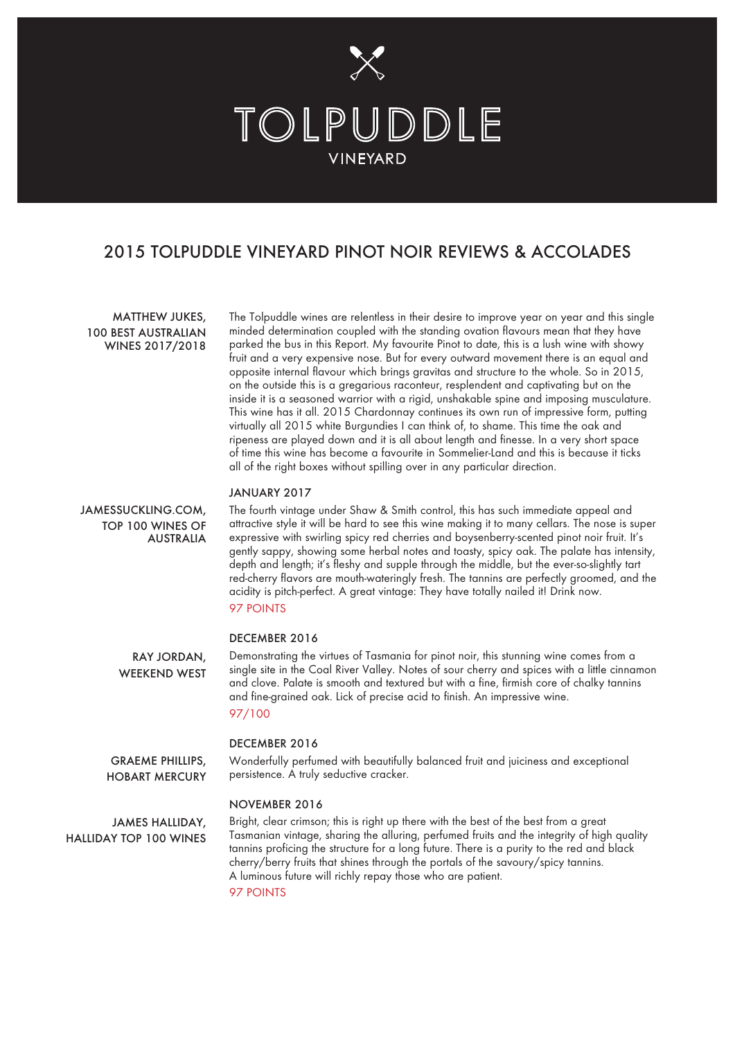

# 2015 TOLPUDDLE VINEYARD PINOT NOIR REVIEWS & ACCOLADES

## MATTHEW JUKES, 100 BEST AUSTRALIAN WINES 2017/2018

The Tolpuddle wines are relentless in their desire to improve year on year and this single minded determination coupled with the standing ovation flavours mean that they have parked the bus in this Report. My favourite Pinot to date, this is a lush wine with showy fruit and a very expensive nose. But for every outward movement there is an equal and opposite internal flavour which brings gravitas and structure to the whole. So in 2015, on the outside this is a gregarious raconteur, resplendent and captivating but on the inside it is a seasoned warrior with a rigid, unshakable spine and imposing musculature. This wine has it all. 2015 Chardonnay continues its own run of impressive form, putting virtually all 2015 white Burgundies I can think of, to shame. This time the oak and ripeness are played down and it is all about length and finesse. In a very short space of time this wine has become a favourite in Sommelier-Land and this is because it ticks all of the right boxes without spilling over in any particular direction.

## JANUARY 2017

JAMESSUCKLING.COM, TOP 100 WINES OF AUSTRALIA The fourth vintage under Shaw & Smith control, this has such immediate appeal and attractive style it will be hard to see this wine making it to many cellars. The nose is super expressive with swirling spicy red cherries and boysenberry-scented pinot noir fruit. It's gently sappy, showing some herbal notes and toasty, spicy oak. The palate has intensity, depth and length; it's fleshy and supple through the middle, but the ever-so-slightly tart red-cherry flavors are mouth-wateringly fresh. The tannins are perfectly groomed, and the acidity is pitch-perfect. A great vintage: They have totally nailed it! Drink now. 97 POINTS

## DECEMBER 2016

Demonstrating the virtues of Tasmania for pinot noir, this stunning wine comes from a single site in the Coal River Valley. Notes of sour cherry and spices with a little cinnamon and clove. Palate is smooth and textured but with a fine, firmish core of chalky tannins and fine-grained oak. Lick of precise acid to finish. An impressive wine. RAY JORDAN, WEEKEND WEST

## 97/100

## DECEMBER 2016

Wonderfully perfumed with beautifully balanced fruit and juiciness and exceptional persistence. A truly seductive cracker.

#### NOVEMBER 2016

JAMES HALLIDAY, HALLIDAY TOP 100 WINES

GRAEME PHILLIPS, HOBART MERCURY

> Bright, clear crimson; this is right up there with the best of the best from a great Tasmanian vintage, sharing the alluring, perfumed fruits and the integrity of high quality tannins proficing the structure for a long future. There is a purity to the red and black cherry/berry fruits that shines through the portals of the savoury/spicy tannins. A luminous future will richly repay those who are patient.

97 POINTS